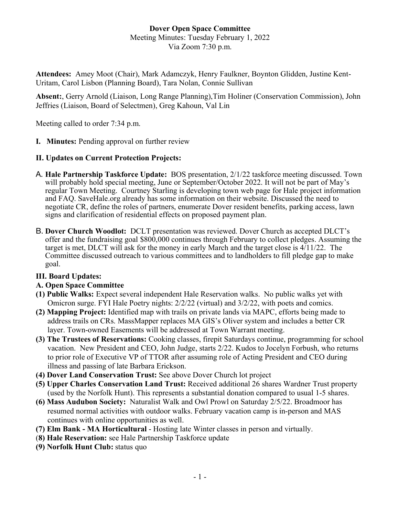## **Dover Open Space Committee**

Meeting Minutes: Tuesday February 1, 2022 Via Zoom 7:30 p.m.

**Attendees:** Amey Moot (Chair), Mark Adamczyk, Henry Faulkner, Boynton Glidden, Justine Kent-Uritam, Carol Lisbon (Planning Board), Tara Nolan, Connie Sullivan

**Absent:**, Gerry Arnold (Liaison, Long Range Planning),Tim Holiner (Conservation Commission), John Jeffries (Liaison, Board of Selectmen), Greg Kahoun, Val Lin

Meeting called to order 7:34 p.m.

**I. Minutes:** Pending approval on further review

#### **II. Updates on Current Protection Projects:**

- A. **Hale Partnership Taskforce Update:** BOS presentation, 2/1/22 taskforce meeting discussed. Town will probably hold special meeting, June or September/October 2022. It will not be part of May's regular Town Meeting. Courtney Starling is developing town web page for Hale project information and FAQ. SaveHale.org already has some information on their website. Discussed the need to negotiate CR, define the roles of partners, enumerate Dover resident benefits, parking access, lawn signs and clarification of residential effects on proposed payment plan.
- B. **Dover Church Woodlot:** DCLT presentation was reviewed. Dover Church as accepted DLCT's offer and the fundraising goal \$800,000 continues through February to collect pledges. Assuming the target is met, DLCT will ask for the money in early March and the target close is 4/11/22. The Committee discussed outreach to various committees and to landholders to fill pledge gap to make goal.

### **III. Board Updates:**

### **A. Open Space Committee**

- **(1) Public Walks:** Expect several independent Hale Reservation walks. No public walks yet with Omicron surge. FYI Hale Poetry nights: 2/2/22 (virtual) and 3/2/22, with poets and comics.
- **(2) Mapping Project:** Identified map with trails on private lands via MAPC, efforts being made to address trails on CRs. MassMapper replaces MA GIS's Oliver system and includes a better CR layer. Town-owned Easements will be addressed at Town Warrant meeting.
- **(3) The Trustees of Reservations:** Cooking classes, firepit Saturdays continue, programming for school vacation. New President and CEO, John Judge, starts 2/22. Kudos to Jocelyn Forbush, who returns to prior role of Executive VP of TTOR after assuming role of Acting President and CEO during illness and passing of late Barbara Erickson.
- **(4) Dover Land Conservation Trust:** See above Dover Church lot project
- **(5) Upper Charles Conservation Land Trust:** Received additional 26 shares Wardner Trust property (used by the Norfolk Hunt). This represents a substantial donation compared to usual 1-5 shares.
- **(6) Mass Audubon Society:** Naturalist Walk and Owl Prowl on Saturday 2/5/22. Broadmoor has resumed normal activities with outdoor walks. February vacation camp is in-person and MAS continues with online opportunities as well.
- **(7) Elm Bank - MA Horticultural** Hosting late Winter classes in person and virtually.
- (**8) Hale Reservation:** see Hale Partnership Taskforce update
- **(9) Norfolk Hunt Club:** status quo